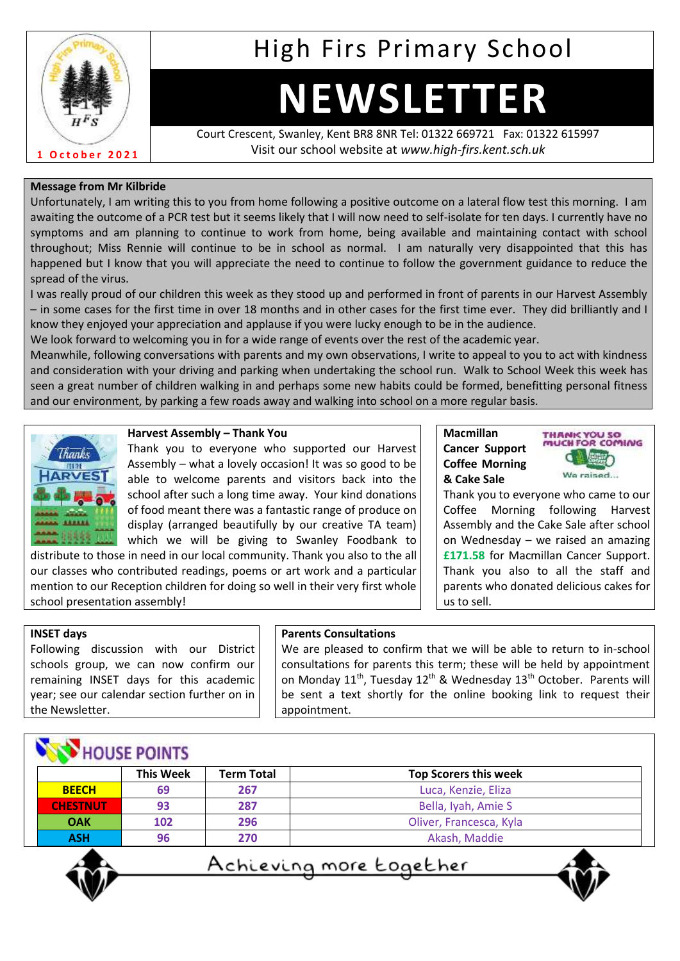

## High Firs Primary School

# **NEWSLETTER**

Court Crescent, Swanley, Kent BR8 8NR Tel: 01322 669721 Fax: 01322 615997 Visit our school website at *www.high-firs.kent.sch.uk*

#### **Message from Mr Kilbride**

Unfortunately, I am writing this to you from home following a positive outcome on a lateral flow test this morning. I am awaiting the outcome of a PCR test but it seems likely that I will now need to self-isolate for ten days. I currently have no symptoms and am planning to continue to work from home, being available and maintaining contact with school throughout; Miss Rennie will continue to be in school as normal. I am naturally very disappointed that this has happened but I know that you will appreciate the need to continue to follow the government guidance to reduce the spread of the virus.

I was really proud of our children this week as they stood up and performed in front of parents in our Harvest Assembly – in some cases for the first time in over 18 months and in other cases for the first time ever. They did brilliantly and I know they enjoyed your appreciation and applause if you were lucky enough to be in the audience.

We look forward to welcoming you in for a wide range of events over the rest of the academic year.

Meanwhile, following conversations with parents and my own observations, I write to appeal to you to act with kindness and consideration with your driving and parking when undertaking the school run. Walk to School Week this week has seen a great number of children walking in and perhaps some new habits could be formed, benefitting personal fitness and our environment, by parking a few roads away and walking into school on a more regular basis.



#### **Harvest Assembly – Thank You**

Thank you to everyone who supported our Harvest Assembly – what a lovely occasion! It was so good to be able to welcome parents and visitors back into the school after such a long time away. Your kind donations of food meant there was a fantastic range of produce on display (arranged beautifully by our creative TA team) which we will be giving to Swanley Foodbank to

distribute to those in need in our local community. Thank you also to the all our classes who contributed readings, poems or art work and a particular mention to our Reception children for doing so well in their very first whole school presentation assembly!

#### **Macmillan Cancer Support Coffee Morning & Cake Sale**



Thank you to everyone who came to our Coffee Morning following Harvest Assembly and the Cake Sale after school on Wednesday – we raised an amazing **£171.58** for Macmillan Cancer Support. Thank you also to all the staff and parents who donated delicious cakes for us to sell.

#### **INSET days**

Following discussion with our District schools group, we can now confirm our remaining INSET days for this academic year; see our calendar section further on in the Newsletter.

#### **Parents Consultations**

We are pleased to confirm that we will be able to return to in-school consultations for parents this term; these will be held by appointment on Monday 11<sup>th</sup>, Tuesday 12<sup>th</sup> & Wednesday 13<sup>th</sup> October. Parents will be sent a text shortly for the online booking link to request their appointment.

|  | <b>NOUSE POINTS</b> |  |
|--|---------------------|--|
|--|---------------------|--|

|                 | <b>This Week</b> | <b>Term Total</b> | <b>Top Scorers this week</b> |
|-----------------|------------------|-------------------|------------------------------|
| <b>BEECH</b>    | 69               | 267               | Luca, Kenzie, Eliza          |
| <b>CHESTNUT</b> | 93               | 287               | Bella, Iyah, Amie S          |
| <b>OAK</b>      | 102              | 296               | Oliver, Francesca, Kyla      |
| <b>ASH</b>      | 96               | 270               | Akash, Maddie                |



<u>Achieving more together</u>

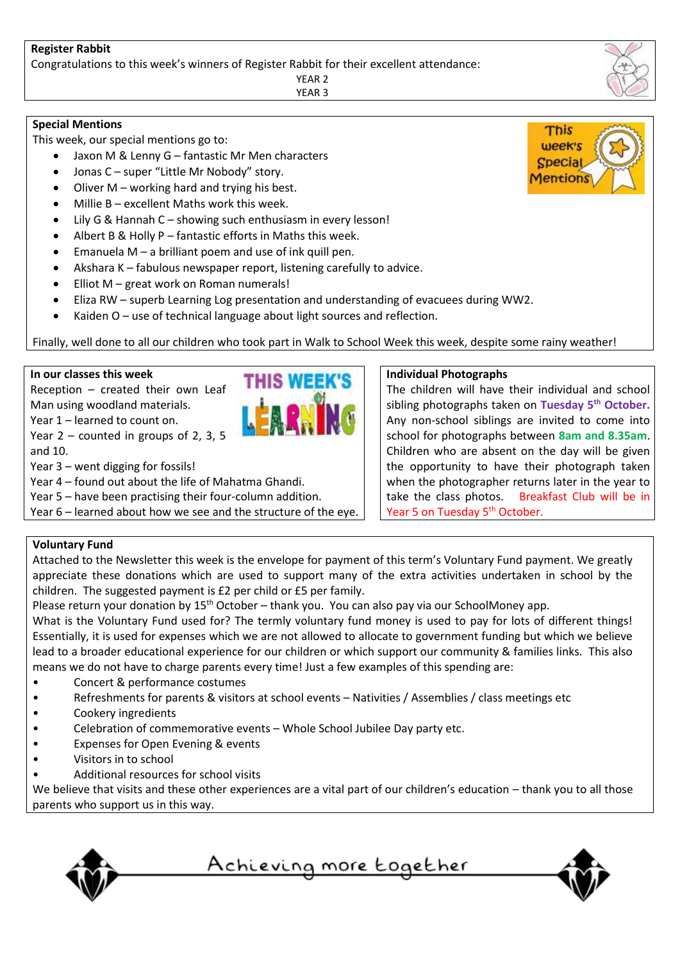#### **Register Rabbit**

Congratulations to this week's winners of Register Rabbit for their excellent attendance:

YEAR 2 YEAR 3

#### **Special Mentions**

This week, our special mentions go to:

- Jaxon M & Lenny G fantastic Mr Men characters
- Jonas C super "Little Mr Nobody" story.
- Oliver M working hard and trying his best.
- Millie B excellent Maths work this week.
- Lily G & Hannah C showing such enthusiasm in every lesson!
- Albert B & Holly P fantastic efforts in Maths this week.
- Emanuela  $M a$  brilliant poem and use of ink quill pen.
- Akshara K fabulous newspaper report, listening carefully to advice.
- Elliot M great work on Roman numerals!
- Eliza RW superb Learning Log presentation and understanding of evacuees during WW2.
- Kaiden O use of technical language about light sources and reflection.

Finally, well done to all our children who took part in Walk to School Week this week, despite some rainy weather!

#### **In our classes this week**

Reception – created their own Leaf Man using woodland materials. Year 1 – learned to count on. Year 2 – counted in groups of 2, 3, 5

and 10.

Year 3 – went digging for fossils!

Year 4 – found out about the life of Mahatma Ghandi.

Year 5 – have been practising their four-column addition.

Year 6 – learned about how we see and the structure of the eye.

#### **Individual Photographs**

The children will have their individual and school sibling photographs taken on **Tuesday 5th October.** Any non-school siblings are invited to come into school for photographs between **8am and 8.35am**. Children who are absent on the day will be given the opportunity to have their photograph taken when the photographer returns later in the year to take the class photos. Breakfast Club will be in Year 5 on Tuesday 5<sup>th</sup> October.

#### **Voluntary Fund**

Attached to the Newsletter this week is the envelope for payment of this term's Voluntary Fund payment. We greatly appreciate these donations which are used to support many of the extra activities undertaken in school by the children. The suggested payment is £2 per child or £5 per family.

Please return your donation by 15<sup>th</sup> October – thank you. You can also pay via our SchoolMoney app.

What is the Voluntary Fund used for? The termly voluntary fund money is used to pay for lots of different things! Essentially, it is used for expenses which we are not allowed to allocate to government funding but which we believe lead to a broader educational experience for our children or which support our community & families links. This also means we do not have to charge parents every time! Just a few examples of this spending are:

- Concert & performance costumes
- Refreshments for parents & visitors at school events Nativities / Assemblies / class meetings etc
- Cookery ingredients
- Celebration of commemorative events Whole School Jubilee Day party etc.
- Expenses for Open Evening & events
- Visitors in to school
- Additional resources for school visits

We believe that visits and these other experiences are a vital part of our children's education – thank you to all those parents who support us in this way.



<u>Achieving more together</u>